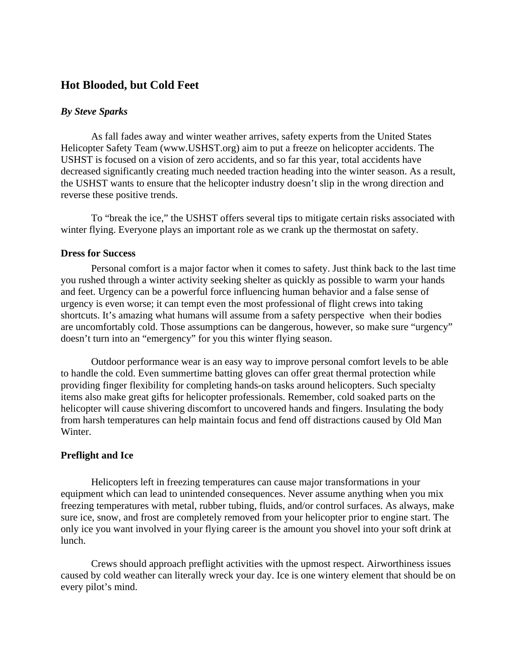# **Hot Blooded, but Cold Feet**

## *By Steve Sparks*

As fall fades away and winter weather arrives, safety experts from the United States Helicopter Safety Team (www.USHST.org) aim to put a freeze on helicopter accidents. The USHST is focused on a vision of zero accidents, and so far this year, total accidents have decreased significantly creating much needed traction heading into the winter season. As a result, the USHST wants to ensure that the helicopter industry doesn't slip in the wrong direction and reverse these positive trends.

To "break the ice," the USHST offers several tips to mitigate certain risks associated with winter flying. Everyone plays an important role as we crank up the thermostat on safety.

### **Dress for Success**

Personal comfort is a major factor when it comes to safety. Just think back to the last time you rushed through a winter activity seeking shelter as quickly as possible to warm your hands and feet. Urgency can be a powerful force influencing human behavior and a false sense of urgency is even worse; it can tempt even the most professional of flight crews into taking shortcuts. It's amazing what humans will assume from a safety perspective when their bodies are uncomfortably cold. Those assumptions can be dangerous, however, so make sure "urgency" doesn't turn into an "emergency" for you this winter flying season.

Outdoor performance wear is an easy way to improve personal comfort levels to be able to handle the cold. Even summertime batting gloves can offer great thermal protection while providing finger flexibility for completing hands-on tasks around helicopters. Such specialty items also make great gifts for helicopter professionals. Remember, cold soaked parts on the helicopter will cause shivering discomfort to uncovered hands and fingers. Insulating the body from harsh temperatures can help maintain focus and fend off distractions caused by Old Man Winter.

## **Preflight and Ice**

Helicopters left in freezing temperatures can cause major transformations in your equipment which can lead to unintended consequences. Never assume anything when you mix freezing temperatures with metal, rubber tubing, fluids, and/or control surfaces. As always, make sure ice, snow, and frost are completely removed from your helicopter prior to engine start. The only ice you want involved in your flying career is the amount you shovel into your soft drink at lunch.

Crews should approach preflight activities with the upmost respect. Airworthiness issues caused by cold weather can literally wreck your day. Ice is one wintery element that should be on every pilot's mind.